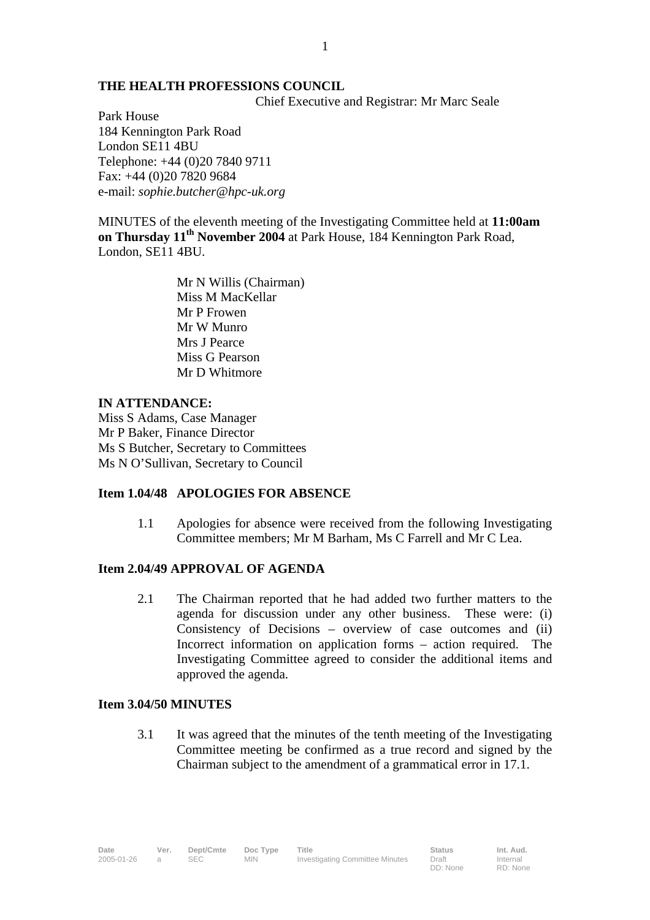#### **THE HEALTH PROFESSIONS COUNCIL**

Chief Executive and Registrar: Mr Marc Seale

Park House 184 Kennington Park Road London SE11 4BU Telephone: +44 (0)20 7840 9711 Fax: +44 (0)20 7820 9684 e-mail: *sophie.butcher@hpc-uk.org*

MINUTES of the eleventh meeting of the Investigating Committee held at **11:00am on Thursday 11th November 2004** at Park House, 184 Kennington Park Road, London, SE11 4BU.

> Mr N Willis (Chairman) Miss M MacKellar Mr P Frowen Mr W Munro Mrs J Pearce Miss G Pearson Mr D Whitmore

# **IN ATTENDANCE:**

Miss S Adams, Case Manager Mr P Baker, Finance Director Ms S Butcher, Secretary to Committees Ms N O'Sullivan, Secretary to Council

#### **Item 1.04/48 APOLOGIES FOR ABSENCE**

1.1 Apologies for absence were received from the following Investigating Committee members; Mr M Barham, Ms C Farrell and Mr C Lea.

## **Item 2.04/49 APPROVAL OF AGENDA**

2.1 The Chairman reported that he had added two further matters to the agenda for discussion under any other business. These were: (i) Consistency of Decisions – overview of case outcomes and (ii) Incorrect information on application forms – action required. The Investigating Committee agreed to consider the additional items and approved the agenda.

#### **Item 3.04/50 MINUTES**

3.1 It was agreed that the minutes of the tenth meeting of the Investigating Committee meeting be confirmed as a true record and signed by the Chairman subject to the amendment of a grammatical error in 17.1.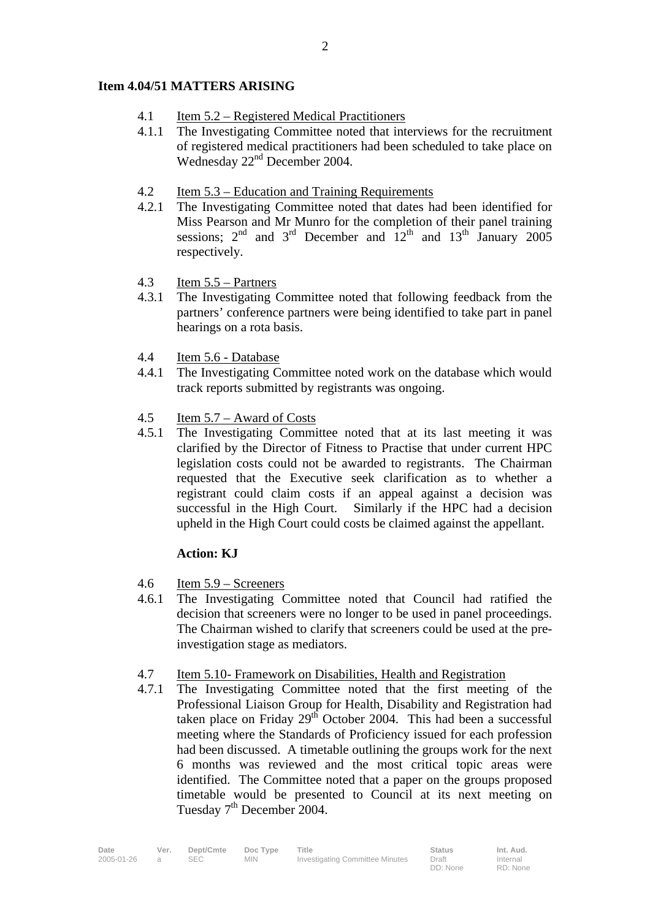## **Item 4.04/51 MATTERS ARISING**

- 4.1 Item 5.2 Registered Medical Practitioners
- 4.1.1 The Investigating Committee noted that interviews for the recruitment of registered medical practitioners had been scheduled to take place on Wednesday 22<sup>nd</sup> December 2004.
- 4.2 Item 5.3 Education and Training Requirements
- 4.2.1 The Investigating Committee noted that dates had been identified for Miss Pearson and Mr Munro for the completion of their panel training sessions;  $2<sup>nd</sup>$  and  $3<sup>rd</sup>$  December and  $12<sup>th</sup>$  and  $13<sup>th</sup>$  January 2005 respectively.
- 4.3 Item 5.5 Partners
- 4.3.1 The Investigating Committee noted that following feedback from the partners' conference partners were being identified to take part in panel hearings on a rota basis.
- 4.4 Item 5.6 Database
- 4.4.1 The Investigating Committee noted work on the database which would track reports submitted by registrants was ongoing.
- 4.5 Item 5.7 Award of Costs
- 4.5.1 The Investigating Committee noted that at its last meeting it was clarified by the Director of Fitness to Practise that under current HPC legislation costs could not be awarded to registrants. The Chairman requested that the Executive seek clarification as to whether a registrant could claim costs if an appeal against a decision was successful in the High Court. Similarly if the HPC had a decision upheld in the High Court could costs be claimed against the appellant.

### **Action: KJ**

- 4.6 Item 5.9 Screeners
- 4.6.1 The Investigating Committee noted that Council had ratified the decision that screeners were no longer to be used in panel proceedings. The Chairman wished to clarify that screeners could be used at the preinvestigation stage as mediators.
- 4.7 Item 5.10- Framework on Disabilities, Health and Registration
- 4.7.1 The Investigating Committee noted that the first meeting of the Professional Liaison Group for Health, Disability and Registration had taken place on Friday  $29<sup>th</sup>$  October 2004. This had been a successful meeting where the Standards of Proficiency issued for each profession had been discussed. A timetable outlining the groups work for the next 6 months was reviewed and the most critical topic areas were identified. The Committee noted that a paper on the groups proposed timetable would be presented to Council at its next meeting on Tuesday  $7<sup>th</sup>$  December 2004.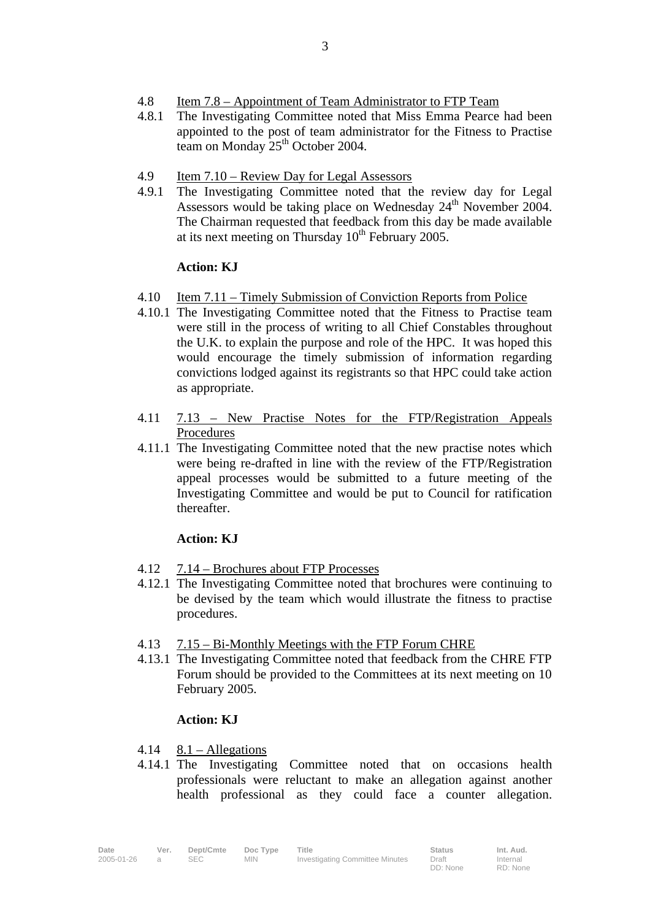- 4.8 Item 7.8 Appointment of Team Administrator to FTP Team
- 4.8.1 The Investigating Committee noted that Miss Emma Pearce had been appointed to the post of team administrator for the Fitness to Practise team on Monday 25<sup>th</sup> October 2004.
- 4.9 Item 7.10 Review Day for Legal Assessors
- 4.9.1 The Investigating Committee noted that the review day for Legal Assessors would be taking place on Wednesday 24<sup>th</sup> November 2004. The Chairman requested that feedback from this day be made available at its next meeting on Thursday  $10^{th}$  February 2005.

#### **Action: KJ**

- 4.10 Item 7.11 Timely Submission of Conviction Reports from Police
- 4.10.1 The Investigating Committee noted that the Fitness to Practise team were still in the process of writing to all Chief Constables throughout the U.K. to explain the purpose and role of the HPC. It was hoped this would encourage the timely submission of information regarding convictions lodged against its registrants so that HPC could take action as appropriate.
- 4.11 7.13 New Practise Notes for the FTP/Registration Appeals Procedures
- 4.11.1 The Investigating Committee noted that the new practise notes which were being re-drafted in line with the review of the FTP/Registration appeal processes would be submitted to a future meeting of the Investigating Committee and would be put to Council for ratification thereafter.

## **Action: KJ**

- 4.12 7.14 Brochures about FTP Processes
- 4.12.1 The Investigating Committee noted that brochures were continuing to be devised by the team which would illustrate the fitness to practise procedures.
- 4.13 7.15 Bi-Monthly Meetings with the FTP Forum CHRE
- 4.13.1 The Investigating Committee noted that feedback from the CHRE FTP Forum should be provided to the Committees at its next meeting on 10 February 2005.

#### **Action: KJ**

- $4.14 \quad 8.1 -$ Allegations
- 4.14.1 The Investigating Committee noted that on occasions health professionals were reluctant to make an allegation against another health professional as they could face a counter allegation.

Internal RD: None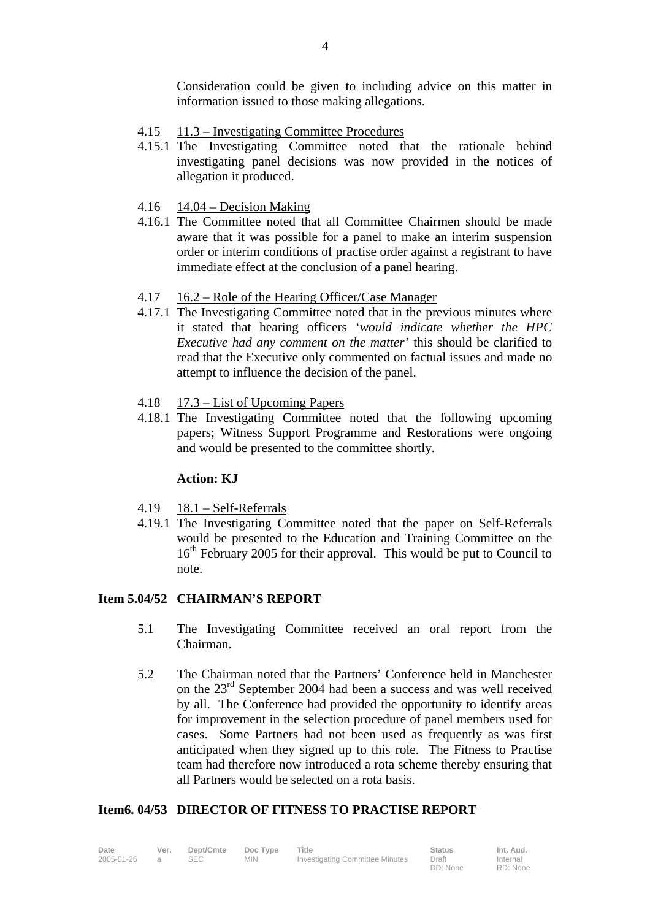Consideration could be given to including advice on this matter in information issued to those making allegations.

- 4.15 11.3 Investigating Committee Procedures
- 4.15.1 The Investigating Committee noted that the rationale behind investigating panel decisions was now provided in the notices of allegation it produced.
- $4.16$  14.04 Decision Making
- 4.16.1 The Committee noted that all Committee Chairmen should be made aware that it was possible for a panel to make an interim suspension order or interim conditions of practise order against a registrant to have immediate effect at the conclusion of a panel hearing.
- 4.17 16.2 Role of the Hearing Officer/Case Manager
- 4.17.1 The Investigating Committee noted that in the previous minutes where it stated that hearing officers '*would indicate whether the HPC Executive had any comment on the matter'* this should be clarified to read that the Executive only commented on factual issues and made no attempt to influence the decision of the panel.
- 4.18 17.3 List of Upcoming Papers
- 4.18.1 The Investigating Committee noted that the following upcoming papers; Witness Support Programme and Restorations were ongoing and would be presented to the committee shortly.

#### **Action: KJ**

- $4.19$  18.1 Self-Referrals
- 4.19.1 The Investigating Committee noted that the paper on Self-Referrals would be presented to the Education and Training Committee on the 16<sup>th</sup> February 2005 for their approval. This would be put to Council to note.

### **Item 5.04/52 CHAIRMAN'S REPORT**

- 5.1 The Investigating Committee received an oral report from the Chairman.
- 5.2 The Chairman noted that the Partners' Conference held in Manchester on the 23rd September 2004 had been a success and was well received by all. The Conference had provided the opportunity to identify areas for improvement in the selection procedure of panel members used for cases. Some Partners had not been used as frequently as was first anticipated when they signed up to this role. The Fitness to Practise team had therefore now introduced a rota scheme thereby ensuring that all Partners would be selected on a rota basis.

## **Item6. 04/53 DIRECTOR OF FITNESS TO PRACTISE REPORT**

| Date       | Ver. | Dept/Cmte  | Doc Type | Title                           | <b>Status</b> | Int. Aud. |
|------------|------|------------|----------|---------------------------------|---------------|-----------|
| 2005-01-26 |      | <b>SEC</b> | MIN.     | Investigating Committee Minutes | Draft         | Internal  |
|            |      |            |          |                                 | DD: None      | RD: None  |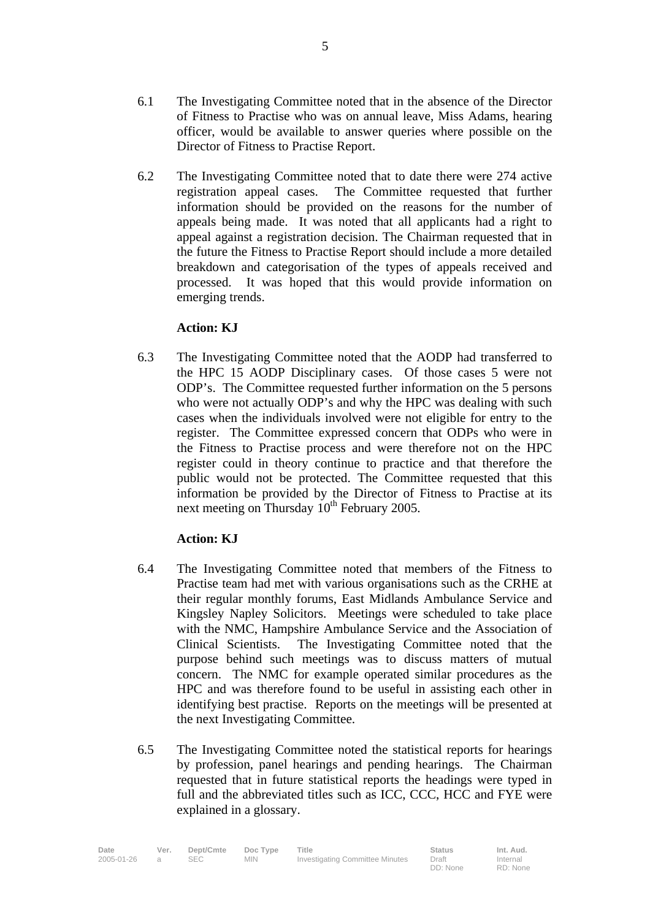6.2 The Investigating Committee noted that to date there were 274 active registration appeal cases. The Committee requested that further information should be provided on the reasons for the number of appeals being made. It was noted that all applicants had a right to appeal against a registration decision. The Chairman requested that in the future the Fitness to Practise Report should include a more detailed breakdown and categorisation of the types of appeals received and processed. It was hoped that this would provide information on emerging trends.

# **Action: KJ**

6.3 The Investigating Committee noted that the AODP had transferred to the HPC 15 AODP Disciplinary cases. Of those cases 5 were not ODP's. The Committee requested further information on the 5 persons who were not actually ODP's and why the HPC was dealing with such cases when the individuals involved were not eligible for entry to the register. The Committee expressed concern that ODPs who were in the Fitness to Practise process and were therefore not on the HPC register could in theory continue to practice and that therefore the public would not be protected. The Committee requested that this information be provided by the Director of Fitness to Practise at its next meeting on Thursday  $10^{th}$  February 2005.

# **Action: KJ**

- 6.4 The Investigating Committee noted that members of the Fitness to Practise team had met with various organisations such as the CRHE at their regular monthly forums, East Midlands Ambulance Service and Kingsley Napley Solicitors. Meetings were scheduled to take place with the NMC, Hampshire Ambulance Service and the Association of Clinical Scientists. The Investigating Committee noted that the purpose behind such meetings was to discuss matters of mutual concern. The NMC for example operated similar procedures as the HPC and was therefore found to be useful in assisting each other in identifying best practise. Reports on the meetings will be presented at the next Investigating Committee.
- 6.5 The Investigating Committee noted the statistical reports for hearings by profession, panel hearings and pending hearings. The Chairman requested that in future statistical reports the headings were typed in full and the abbreviated titles such as ICC, CCC, HCC and FYE were explained in a glossary.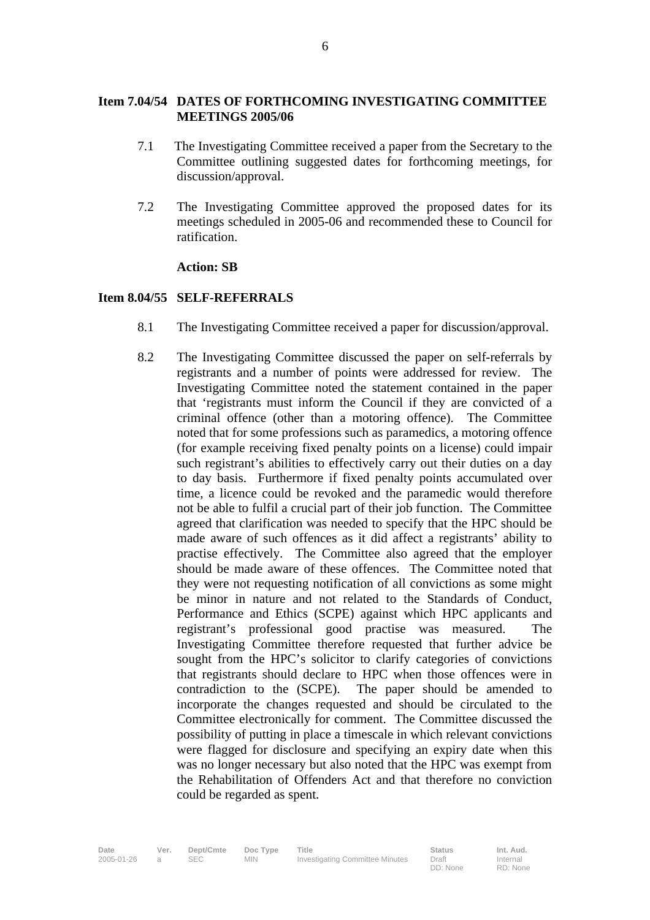## **Item 7.04/54 DATES OF FORTHCOMING INVESTIGATING COMMITTEE MEETINGS 2005/06**

- 7.1The Investigating Committee received a paper from the Secretary to the Committee outlining suggested dates for forthcoming meetings, for discussion/approval.
- 7.2 The Investigating Committee approved the proposed dates for its meetings scheduled in 2005-06 and recommended these to Council for ratification.

#### **Action: SB**

### **Item 8.04/55 SELF-REFERRALS**

- 8.1 The Investigating Committee received a paper for discussion/approval.
- 8.2 The Investigating Committee discussed the paper on self-referrals by registrants and a number of points were addressed for review. The Investigating Committee noted the statement contained in the paper that 'registrants must inform the Council if they are convicted of a criminal offence (other than a motoring offence). The Committee noted that for some professions such as paramedics, a motoring offence (for example receiving fixed penalty points on a license) could impair such registrant's abilities to effectively carry out their duties on a day to day basis. Furthermore if fixed penalty points accumulated over time, a licence could be revoked and the paramedic would therefore not be able to fulfil a crucial part of their job function. The Committee agreed that clarification was needed to specify that the HPC should be made aware of such offences as it did affect a registrants' ability to practise effectively. The Committee also agreed that the employer should be made aware of these offences. The Committee noted that they were not requesting notification of all convictions as some might be minor in nature and not related to the Standards of Conduct, Performance and Ethics (SCPE) against which HPC applicants and registrant's professional good practise was measured. The Investigating Committee therefore requested that further advice be sought from the HPC's solicitor to clarify categories of convictions that registrants should declare to HPC when those offences were in contradiction to the (SCPE). The paper should be amended to incorporate the changes requested and should be circulated to the Committee electronically for comment. The Committee discussed the possibility of putting in place a timescale in which relevant convictions were flagged for disclosure and specifying an expiry date when this was no longer necessary but also noted that the HPC was exempt from the Rehabilitation of Offenders Act and that therefore no conviction could be regarded as spent.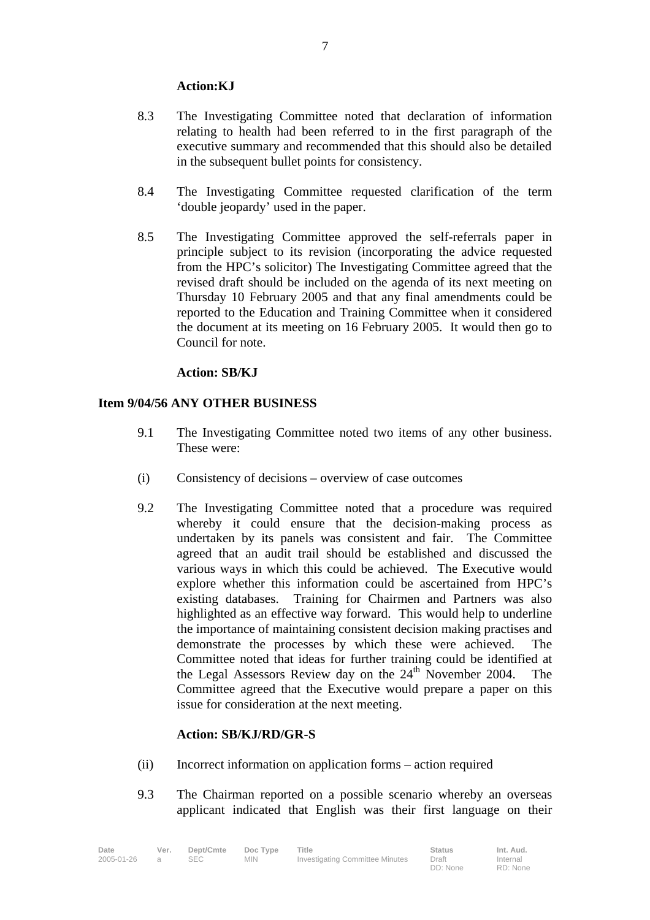## **Action:KJ**

- 8.3 The Investigating Committee noted that declaration of information relating to health had been referred to in the first paragraph of the executive summary and recommended that this should also be detailed in the subsequent bullet points for consistency.
- 8.4 The Investigating Committee requested clarification of the term 'double jeopardy' used in the paper.
- 8.5 The Investigating Committee approved the self-referrals paper in principle subject to its revision (incorporating the advice requested from the HPC's solicitor) The Investigating Committee agreed that the revised draft should be included on the agenda of its next meeting on Thursday 10 February 2005 and that any final amendments could be reported to the Education and Training Committee when it considered the document at its meeting on 16 February 2005. It would then go to Council for note.

## **Action: SB/KJ**

## **Item 9/04/56 ANY OTHER BUSINESS**

- 9.1 The Investigating Committee noted two items of any other business. These were:
- (i) Consistency of decisions overview of case outcomes
- 9.2 The Investigating Committee noted that a procedure was required whereby it could ensure that the decision-making process as undertaken by its panels was consistent and fair. The Committee agreed that an audit trail should be established and discussed the various ways in which this could be achieved. The Executive would explore whether this information could be ascertained from HPC's existing databases. Training for Chairmen and Partners was also highlighted as an effective way forward. This would help to underline the importance of maintaining consistent decision making practises and demonstrate the processes by which these were achieved. The Committee noted that ideas for further training could be identified at the Legal Assessors Review day on the  $24<sup>th</sup>$  November 2004. The Committee agreed that the Executive would prepare a paper on this issue for consideration at the next meeting.

## **Action: SB/KJ/RD/GR-S**

- (ii) Incorrect information on application forms action required
- 9.3 The Chairman reported on a possible scenario whereby an overseas applicant indicated that English was their first language on their

**Date Ver. Dept/Cmte Doc Type Title Status Int. Aud.** 2005-01-26 a SEC MIN Investigating Committee Minutes Draft DD: None Internal RD: None